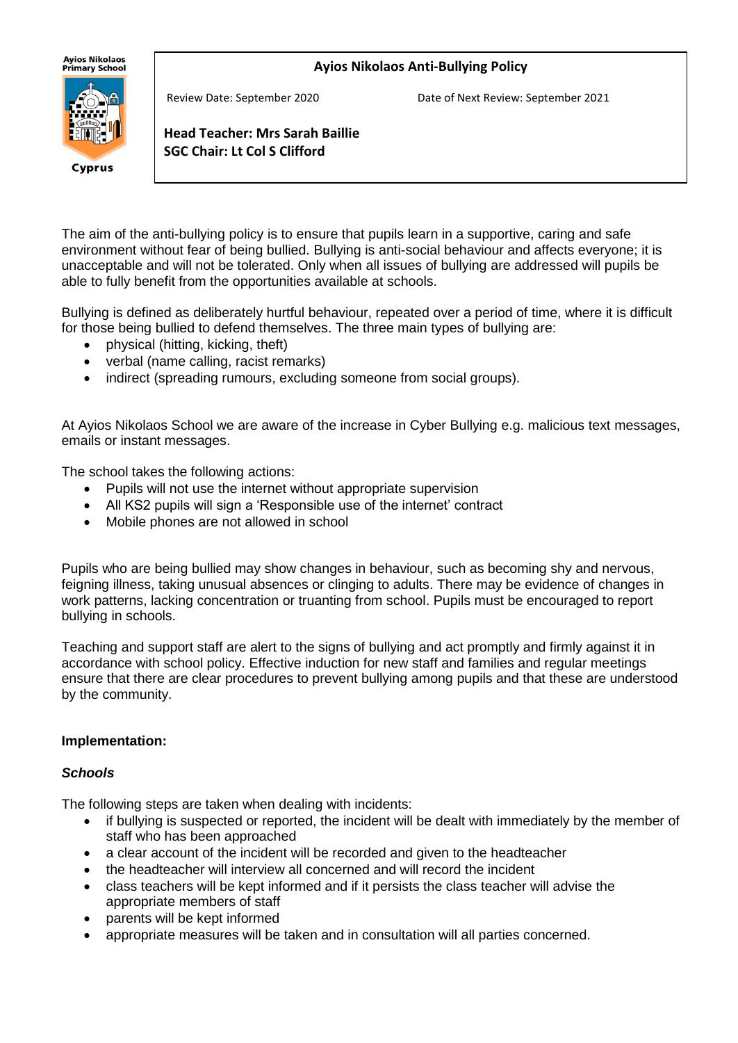## **Ayios Nikolaos Anti-Bullying Policy**

**Ayios Nikolaos** Primarv School



Review Date: September 2020 Date of Next Review: September 2021

**Head Teacher: Mrs Sarah Baillie SGC Chair: Lt Col S Clifford**

The aim of the anti-bullying policy is to ensure that pupils learn in a supportive, caring and safe environment without fear of being bullied. Bullying is anti-social behaviour and affects everyone; it is unacceptable and will not be tolerated. Only when all issues of bullying are addressed will pupils be able to fully benefit from the opportunities available at schools.

Bullying is defined as deliberately hurtful behaviour, repeated over a period of time, where it is difficult for those being bullied to defend themselves. The three main types of bullying are:

• physical (hitting, kicking, theft)

j

- verbal (name calling, racist remarks)
- indirect (spreading rumours, excluding someone from social groups).

At Ayios Nikolaos School we are aware of the increase in Cyber Bullying e.g. malicious text messages, emails or instant messages.

The school takes the following actions:

- Pupils will not use the internet without appropriate supervision
- All KS2 pupils will sign a 'Responsible use of the internet' contract
- Mobile phones are not allowed in school

Pupils who are being bullied may show changes in behaviour, such as becoming shy and nervous, feigning illness, taking unusual absences or clinging to adults. There may be evidence of changes in work patterns, lacking concentration or truanting from school. Pupils must be encouraged to report bullying in schools.

Teaching and support staff are alert to the signs of bullying and act promptly and firmly against it in accordance with school policy. Effective induction for new staff and families and regular meetings ensure that there are clear procedures to prevent bullying among pupils and that these are understood by the community.

### **Implementation:**

#### *Schools*

The following steps are taken when dealing with incidents:

- if bullying is suspected or reported, the incident will be dealt with immediately by the member of staff who has been approached
- a clear account of the incident will be recorded and given to the headteacher
- the headteacher will interview all concerned and will record the incident
- class teachers will be kept informed and if it persists the class teacher will advise the appropriate members of staff
- parents will be kept informed
- appropriate measures will be taken and in consultation will all parties concerned.